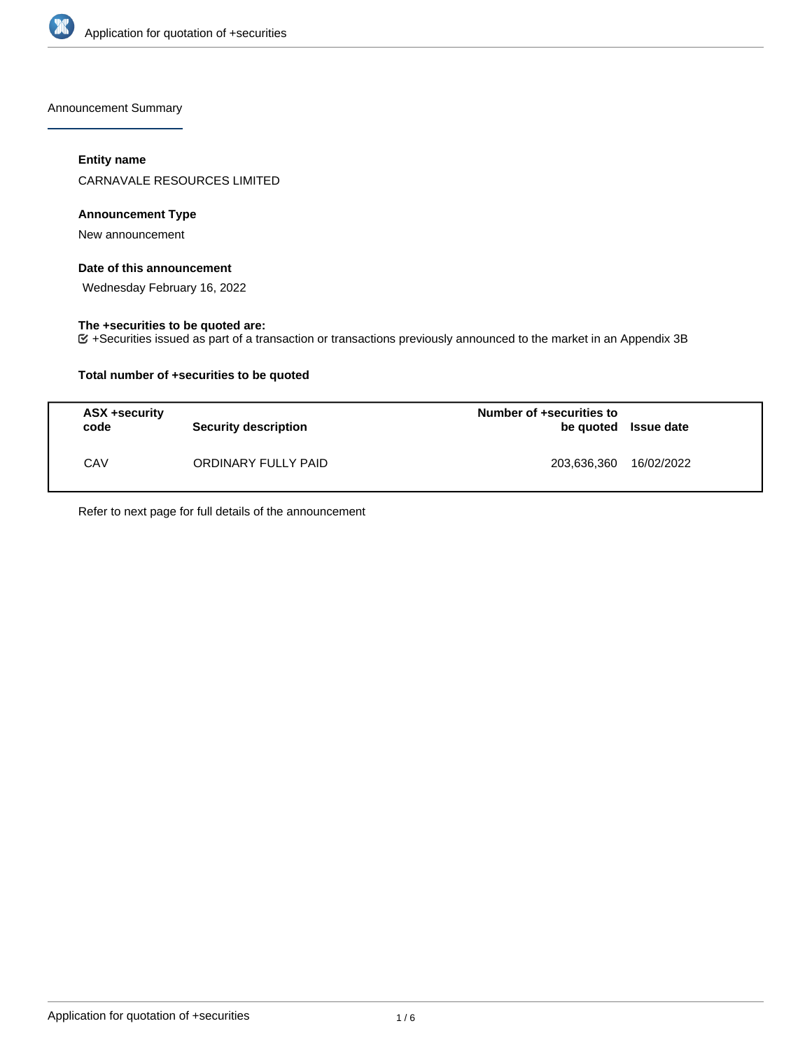

Announcement Summary

## **Entity name**

CARNAVALE RESOURCES LIMITED

## **Announcement Type**

New announcement

## **Date of this announcement**

Wednesday February 16, 2022

## **The +securities to be quoted are:**

+Securities issued as part of a transaction or transactions previously announced to the market in an Appendix 3B

## **Total number of +securities to be quoted**

| ASX +security<br>code | <b>Security description</b> | Number of +securities to<br>be quoted Issue date |            |
|-----------------------|-----------------------------|--------------------------------------------------|------------|
| CAV                   | ORDINARY FULLY PAID         | 203,636,360                                      | 16/02/2022 |

Refer to next page for full details of the announcement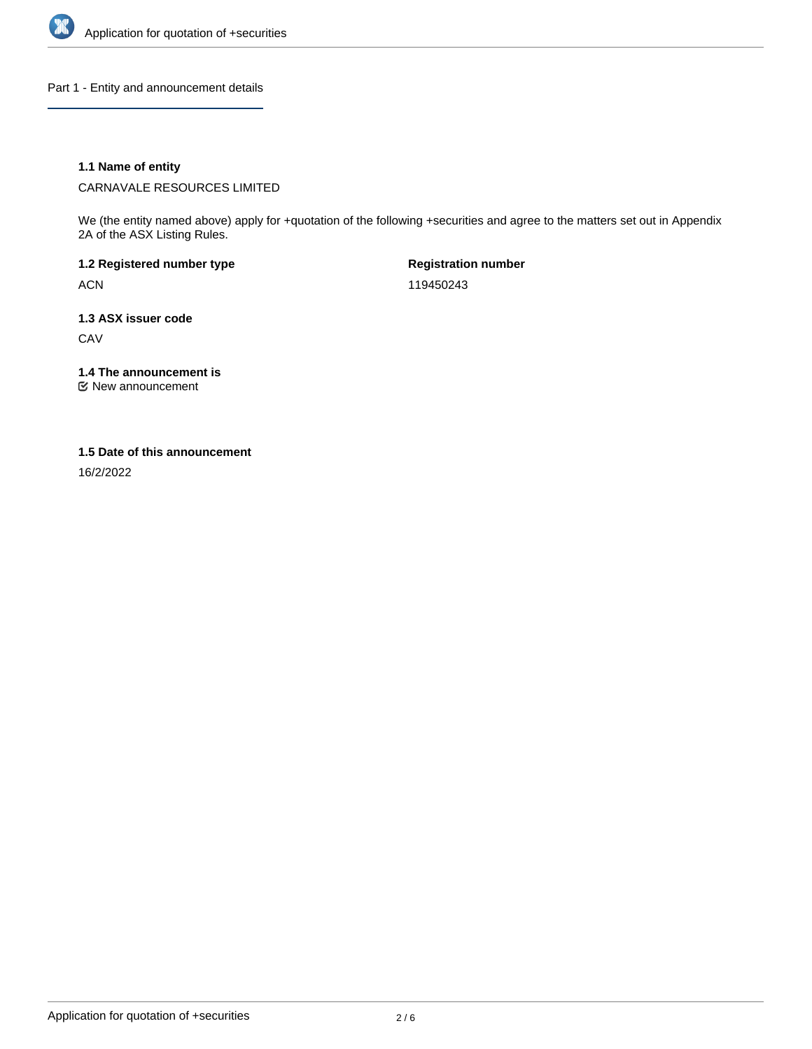

Part 1 - Entity and announcement details

## **1.1 Name of entity**

CARNAVALE RESOURCES LIMITED

We (the entity named above) apply for +quotation of the following +securities and agree to the matters set out in Appendix 2A of the ASX Listing Rules.

**1.2 Registered number type** ACN

**Registration number** 119450243

**1.3 ASX issuer code**

**CAV** 

**1.4 The announcement is**

New announcement

## **1.5 Date of this announcement**

16/2/2022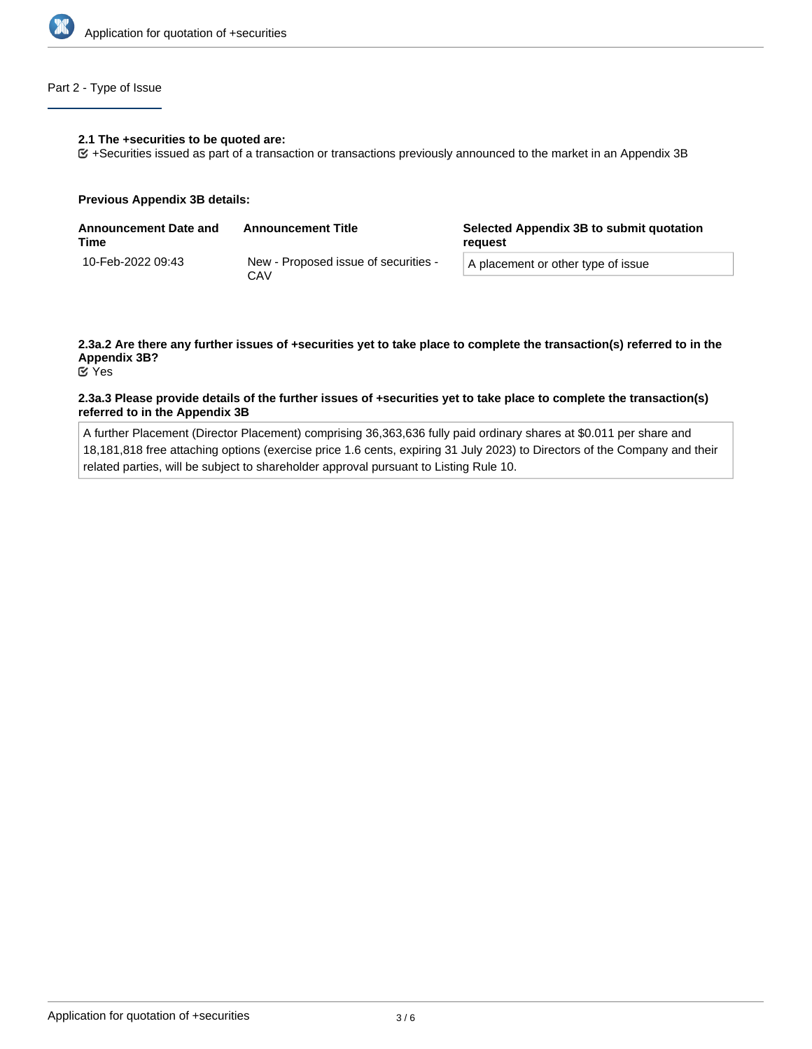

## Part 2 - Type of Issue

### **2.1 The +securities to be quoted are:**

+Securities issued as part of a transaction or transactions previously announced to the market in an Appendix 3B

### **Previous Appendix 3B details:**

| <b>Announcement Date and</b><br>Time | <b>Announcement Title</b>                   | Selected Appendix 3B to submit quotation<br>reauest |
|--------------------------------------|---------------------------------------------|-----------------------------------------------------|
| 10-Feb-2022 09:43                    | New - Proposed issue of securities -<br>CAV | A placement or other type of issue                  |

# **2.3a.2 Are there any further issues of +securities yet to take place to complete the transaction(s) referred to in the Appendix 3B?**

Yes

## **2.3a.3 Please provide details of the further issues of +securities yet to take place to complete the transaction(s) referred to in the Appendix 3B**

A further Placement (Director Placement) comprising 36,363,636 fully paid ordinary shares at \$0.011 per share and 18,181,818 free attaching options (exercise price 1.6 cents, expiring 31 July 2023) to Directors of the Company and their related parties, will be subject to shareholder approval pursuant to Listing Rule 10.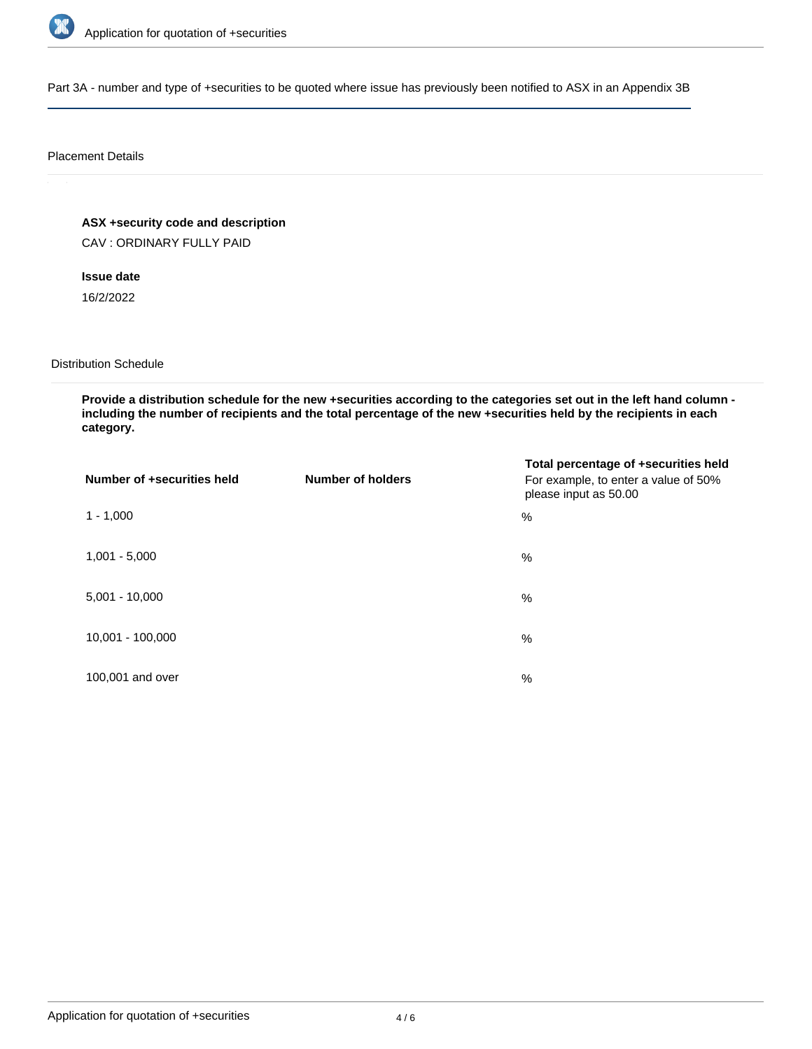

Part 3A - number and type of +securities to be quoted where issue has previously been notified to ASX in an Appendix 3B

### Placement Details

**ASX +security code and description**

CAV : ORDINARY FULLY PAID

**Issue date**

16/2/2022

Distribution Schedule

**Provide a distribution schedule for the new +securities according to the categories set out in the left hand column including the number of recipients and the total percentage of the new +securities held by the recipients in each category.**

| Number of +securities held | <b>Number of holders</b> | Total percentage of +securities held<br>For example, to enter a value of 50%<br>please input as 50.00 |
|----------------------------|--------------------------|-------------------------------------------------------------------------------------------------------|
| $1 - 1,000$                |                          | %                                                                                                     |
| $1,001 - 5,000$            |                          | $\%$                                                                                                  |
| $5,001 - 10,000$           |                          | %                                                                                                     |
| 10,001 - 100,000           |                          | $\%$                                                                                                  |
| 100,001 and over           |                          | $\%$                                                                                                  |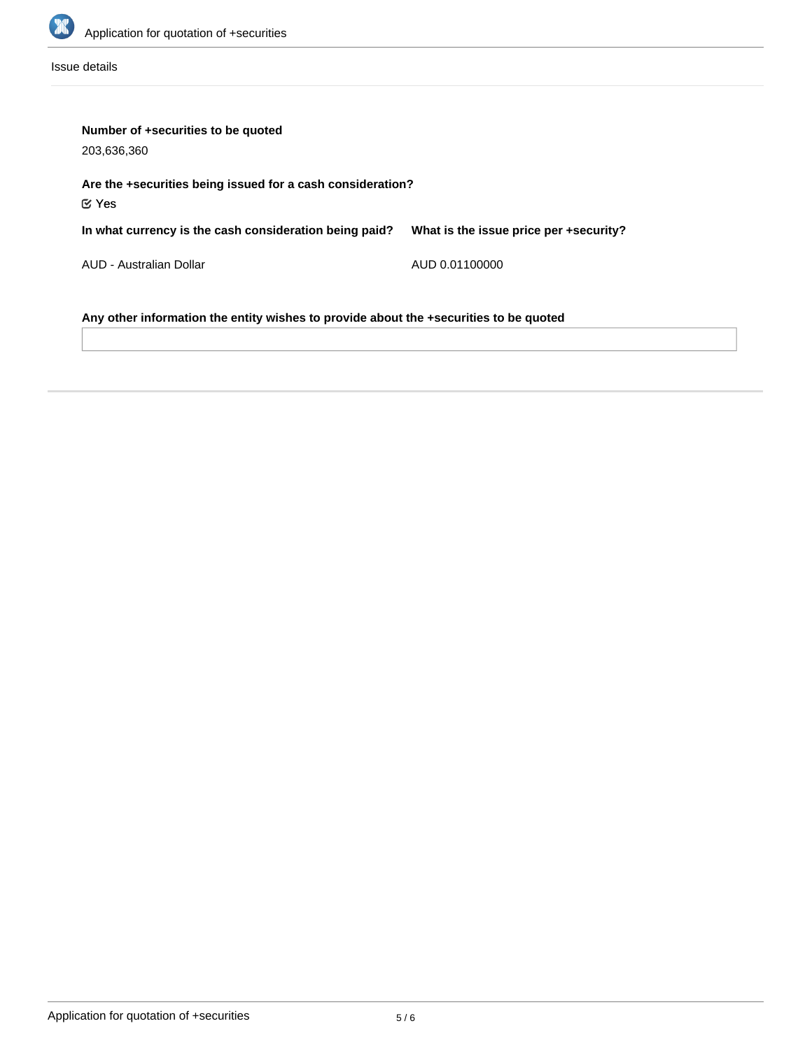

Issue details

| Number of +securities to be quoted<br>203,636,360                                     |                                        |  |  |
|---------------------------------------------------------------------------------------|----------------------------------------|--|--|
| Are the +securities being issued for a cash consideration?<br>$\mathfrak{C}$ Yes      |                                        |  |  |
| In what currency is the cash consideration being paid?                                | What is the issue price per +security? |  |  |
| AUD - Australian Dollar                                                               | AUD 0.01100000                         |  |  |
| Any other information the entity wishes to provide about the +securities to be quoted |                                        |  |  |